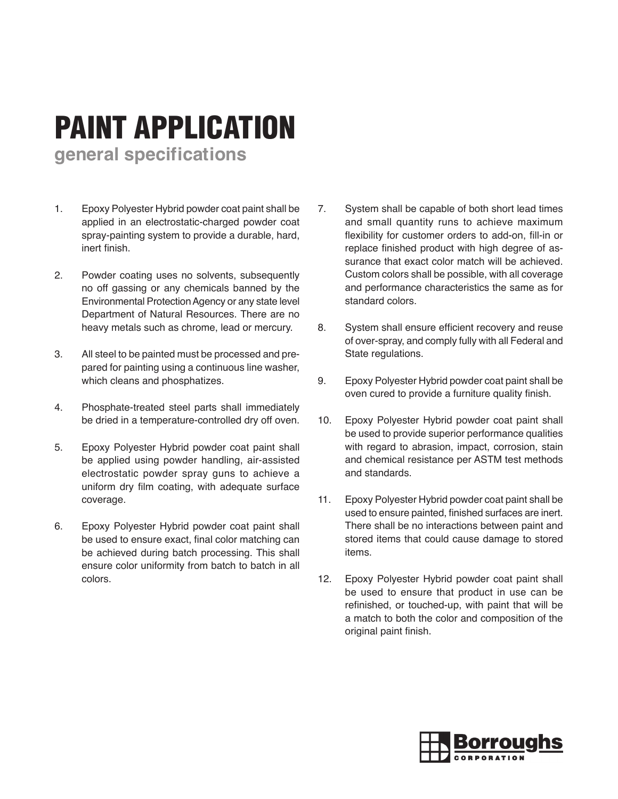## PAINT APPLICATION

**general specifications**

- 1. Epoxy Polyester Hybrid powder coat paint shall be applied in an electrostatic-charged powder coat spray-painting system to provide a durable, hard, inert finish.
- 2. Powder coating uses no solvents, subsequently no off gassing or any chemicals banned by the Environmental Protection Agency or any state level Department of Natural Resources. There are no heavy metals such as chrome, lead or mercury.
- 3. All steel to be painted must be processed and prepared for painting using a continuous line washer, which cleans and phosphatizes.
- 4. Phosphate-treated steel parts shall immediately be dried in a temperature-controlled dry off oven.
- 5. Epoxy Polyester Hybrid powder coat paint shall be applied using powder handling, air-assisted electrostatic powder spray guns to achieve a uniform dry film coating, with adequate surface coverage.
- 6. Epoxy Polyester Hybrid powder coat paint shall be used to ensure exact, final color matching can be achieved during batch processing. This shall ensure color uniformity from batch to batch in all colors.
- 7. System shall be capable of both short lead times and small quantity runs to achieve maximum flexibility for customer orders to add-on, fill-in or replace finished product with high degree of assurance that exact color match will be achieved. Custom colors shall be possible, with all coverage and performance characteristics the same as for standard colors.
- 8. System shall ensure efficient recovery and reuse of over-spray, and comply fully with all Federal and State regulations.
- 9. Epoxy Polyester Hybrid powder coat paint shall be oven cured to provide a furniture quality finish.
- 10. Epoxy Polyester Hybrid powder coat paint shall be used to provide superior performance qualities with regard to abrasion, impact, corrosion, stain and chemical resistance per ASTM test methods and standards.
- 11. Epoxy Polyester Hybrid powder coat paint shall be used to ensure painted, finished surfaces are inert. There shall be no interactions between paint and stored items that could cause damage to stored items.
- 12. Epoxy Polyester Hybrid powder coat paint shall be used to ensure that product in use can be refinished, or touched-up, with paint that will be a match to both the color and composition of the original paint finish.